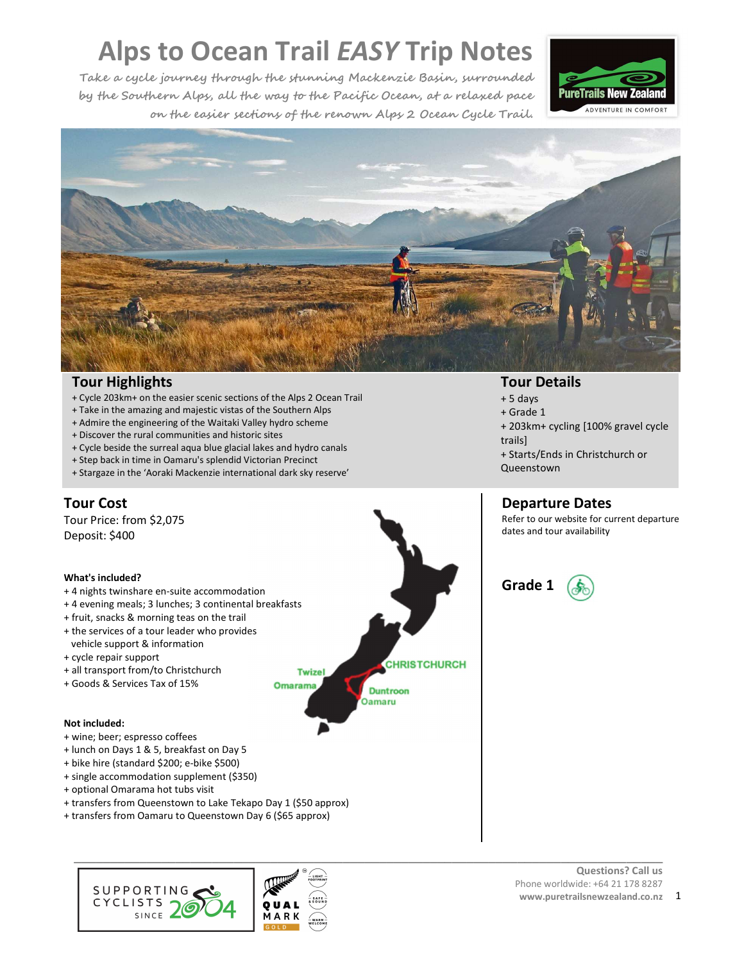**Take a cycle journey through the stunning Mackenzie Basin, surrounded by the Southern Alps, all the way to the Pacific Ocean, at a relaxed pace on the easier sections of the renown Alps 2 Ocean Cycle Trail.** 





# **Tour Highlights**

- + Cycle 203km+ on the easier scenic sections of the Alps 2 Ocean Trail
- + Take in the amazing and majestic vistas of the Southern Alps
- + Admire the engineering of the Waitaki Valley hydro scheme
- + Discover the rural communities and historic sites
- + Cycle beside the surreal aqua blue glacial lakes and hydro canals
- + Step back in time in Oamaru's splendid Victorian Precinct
- + Stargaze in the 'Aoraki Mackenzie international dark sky reserve'

# **Tour Cost**

Tour Price: from \$2,075 Deposit: \$400

#### **What's included?**

- + 4 nights twinshare en-suite accommodation
- + 4 evening meals; 3 lunches; 3 continental breakfasts
- + fruit, snacks & morning teas on the trail
- + the services of a tour leader who provides
- vehicle support & information
- + cycle repair support
- + all transport from/to Christchurch
- + Goods & Services Tax of 15%

#### **Not included:**

- + wine; beer; espresso coffees
- + lunch on Days 1 & 5, breakfast on Day 5
- + bike hire (standard \$200; e-bike \$500)
- + single accommodation supplement (\$350)
- + optional Omarama hot tubs visit
- + transfers from Queenstown to Lake Tekapo Day 1 (\$50 approx)
- + transfers from Oamaru to Queenstown Day 6 (\$65 approx)





- **Tour Details**
- $+ 5$  days
- + Grade 1
- + 203km+ cycling [100% gravel cycle trails]
- + Starts/Ends in Christchurch or Queenstown

# **Departure Dates**

Refer to our website for current departure dates and tour availability



#### **Questions? Call us**  Phone worldwide: +64 21 178 8287 **www.puretrailsnewzealand.co.nz** 1

**CHRISTCHURCH Twizel Omarama Duntroon Oamaru**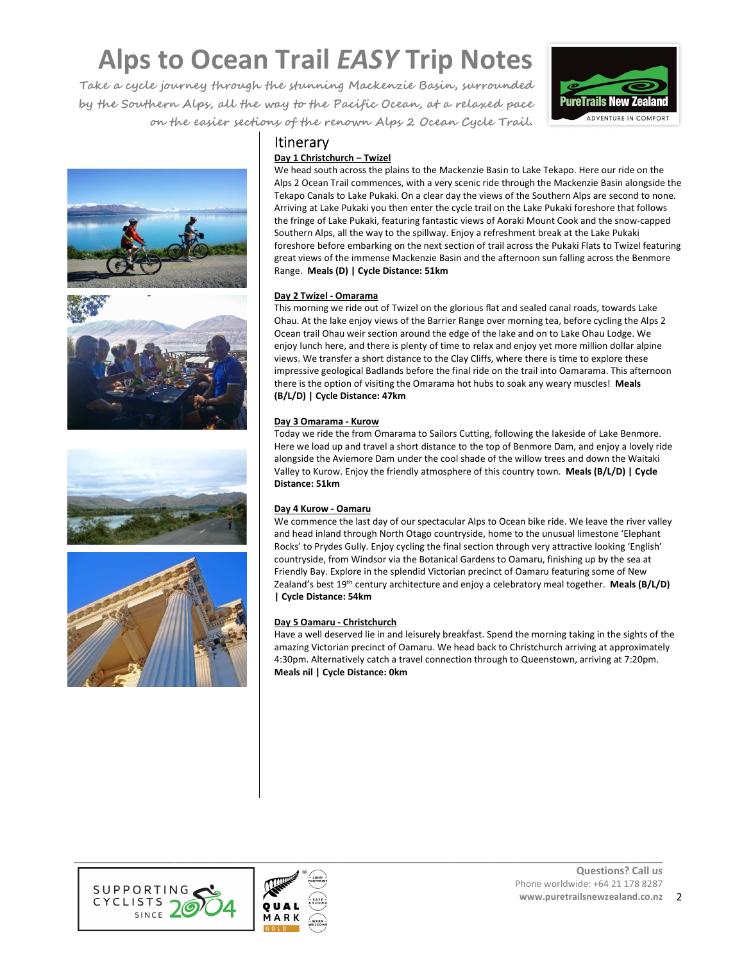**Take a cycle journey through the stunning Mackenzie Basin, surrounded by the Southern Alps, all the way to the Pacific Ocean, at a relaxed pace on the easier sections of the renown Alps 2 Ocean Cycle Trail.**









# **Itinerary**

# **Day 1 Christchurch – Twizel**

We head south across the plains to the Mackenzie Basin to Lake Tekapo. Here our ride on the Alps 2 Ocean Trail commences, with a very scenic ride through the Mackenzie Basin alongside the Tekapo Canals to Lake Pukaki. On a clear day the views of the Southern Alps are second to none. Arriving at Lake Pukaki you then enter the cycle trail on the Lake Pukaki foreshore that follows the fringe of Lake Pukaki, featuring fantastic views of Aoraki Mount Cook and the snow-capped Southern Alps, all the way to the spillway. Enjoy a refreshment break at the Lake Pukaki foreshore before embarking on the next section of trail across the Pukaki Flats to Twizel featuring great views of the immense Mackenzie Basin and the afternoon sun falling across the Benmore Range. **Meals (D) | Cycle Distance: 51km**

## **Day 2 Twizel - Omarama**

This morning we ride out of Twizel on the glorious flat and sealed canal roads, towards Lake Ohau. At the lake enjoy views of the Barrier Range over morning tea, before cycling the Alps 2 Ocean trail Ohau weir section around the edge of the lake and on to Lake Ohau Lodge. We enjoy lunch here, and there is plenty of time to relax and enjoy yet more million dollar alpine views. We transfer a short distance to the Clay Cliffs, where there is time to explore these impressive geological Badlands before the final ride on the trail into Oamarama. This afternoon there is the option of visiting the Omarama hot hubs to soak any weary muscles! **Meals (B/L/D) | Cycle Distance: 47km**

## **Day 3 Omarama - Kurow**

Today we ride the from Omarama to Sailors Cutting, following the lakeside of Lake Benmore. Here we load up and travel a short distance to the top of Benmore Dam, and enjoy a lovely ride alongside the Aviemore Dam under the cool shade of the willow trees and down the Waitaki Valley to Kurow. Enjoy the friendly atmosphere of this country town. **Meals (B/L/D) | Cycle Distance: 51km**

## **Day 4 Kurow - Oamaru**

We commence the last day of our spectacular Alps to Ocean bike ride. We leave the river valley and head inland through North Otago countryside, home to the unusual limestone 'Elephant Rocks' to Prydes Gully. Enjoy cycling the final section through very attractive looking 'English' countryside, from Windsor via the Botanical Gardens to Oamaru, finishing up by the sea at Friendly Bay. Explore in the splendid Victorian precinct of Oamaru featuring some of New Zealand's best 19th century architecture and enjoy a celebratory meal together. **Meals (B/L/D) | Cycle Distance: 54km**

# **Day 5 Oamaru - Christchurch**

Have a well deserved lie in and leisurely breakfast. Spend the morning taking in the sights of the amazing Victorian precinct of Oamaru. We head back to Christchurch arriving at approximately 4:30pm. Alternatively catch a travel connection through to Queenstown, arriving at 7:20pm. **Meals nil | Cycle Distance: 0km**



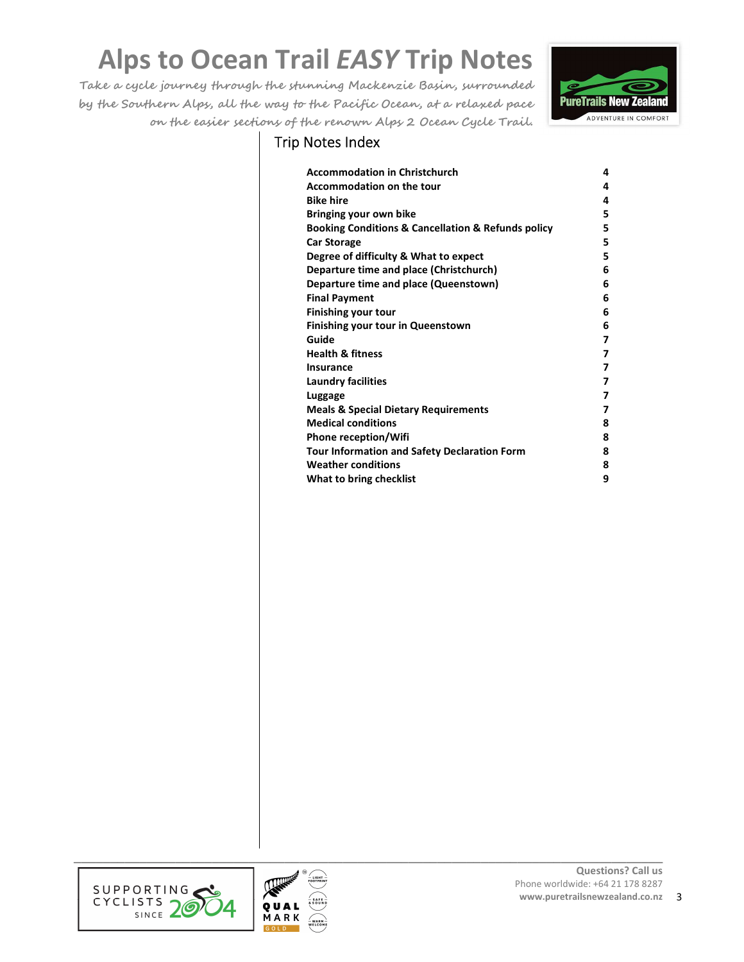**Take a cycle journey through the stunning Mackenzie Basin, surrounded by the Southern Alps, all the way to the Pacific Ocean, at a relaxed pace on the easier sections of the renown Alps 2 Ocean Cycle Trail.**



# Trip Notes Index

| <b>Accommodation in Christchurch</b>                              | 4 |
|-------------------------------------------------------------------|---|
| <b>Accommodation on the tour</b>                                  | 4 |
| <b>Bike hire</b>                                                  | 4 |
| Bringing your own bike                                            | 5 |
| <b>Booking Conditions &amp; Cancellation &amp; Refunds policy</b> | 5 |
| <b>Car Storage</b>                                                | 5 |
| Degree of difficulty & What to expect                             | 5 |
| Departure time and place (Christchurch)                           | 6 |
| Departure time and place (Queenstown)                             | 6 |
| <b>Final Payment</b>                                              | 6 |
| <b>Finishing your tour</b>                                        | 6 |
| <b>Finishing your tour in Queenstown</b>                          | 6 |
| Guide                                                             | 7 |
| <b>Health &amp; fitness</b>                                       | 7 |
| Insurance                                                         | 7 |
| <b>Laundry facilities</b>                                         | 7 |
| Luggage                                                           | 7 |
| <b>Meals &amp; Special Dietary Requirements</b>                   | 7 |
| <b>Medical conditions</b>                                         | 8 |
| <b>Phone reception/Wifi</b>                                       | 8 |
| <b>Tour Information and Safety Declaration Form</b>               | 8 |
| <b>Weather conditions</b>                                         | 8 |
| What to bring checklist                                           | 9 |



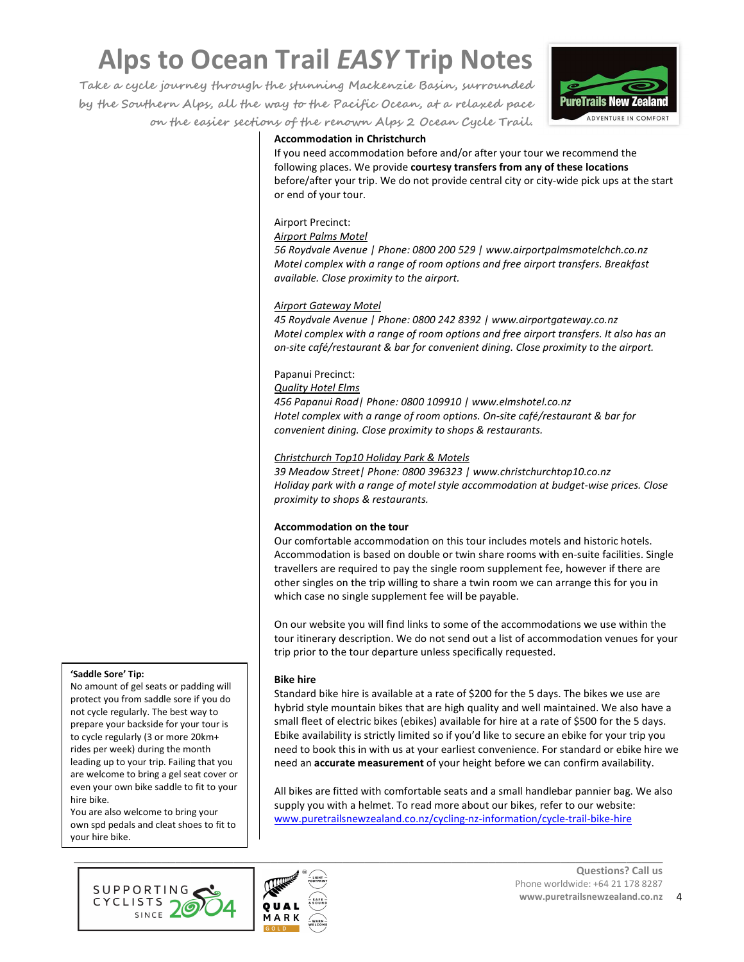**Take a cycle journey through the stunning Mackenzie Basin, surrounded by the Southern Alps, all the way to the Pacific Ocean, at a relaxed pace on the easier sections of the renown Alps 2 Ocean Cycle Trail.**



## **Accommodation in Christchurch**

If you need accommodation before and/or after your tour we recommend the following places. We provide **courtesy transfers from any of these locations** before/after your trip. We do not provide central city or city-wide pick ups at the start or end of your tour.

# Airport Precinct:

#### *Airport Palms Motel*

*56 Roydvale Avenue | Phone: 0800 200 529 | www.airportpalmsmotelchch.co.nz Motel complex with a range of room options and free airport transfers. Breakfast available. Close proximity to the airport.* 

#### *Airport Gateway Motel*

*45 Roydvale Avenue | Phone: 0800 242 8392 | www.airportgateway.co.nz Motel complex with a range of room options and free airport transfers. It also has an on-site café/restaurant & bar for convenient dining. Close proximity to the airport.* 

#### Papanui Precinct:

*Quality Hotel Elms* 

*456 Papanui Road| Phone: 0800 109910 | www.elmshotel.co.nz Hotel complex with a range of room options. On-site café/restaurant & bar for convenient dining. Close proximity to shops & restaurants.* 

#### *Christchurch Top10 Holiday Park & Motels*

*39 Meadow Street| Phone: 0800 396323 | www.christchurchtop10.co.nz Holiday park with a range of motel style accommodation at budget-wise prices. Close proximity to shops & restaurants.* 

#### **Accommodation on the tour**

Our comfortable accommodation on this tour includes motels and historic hotels. Accommodation is based on double or twin share rooms with en-suite facilities. Single travellers are required to pay the single room supplement fee, however if there are other singles on the trip willing to share a twin room we can arrange this for you in which case no single supplement fee will be payable.

On our website you will find links to some of the accommodations we use within the tour itinerary description. We do not send out a list of accommodation venues for your trip prior to the tour departure unless specifically requested.

#### **Bike hire**

Standard bike hire is available at a rate of \$200 for the 5 days. The bikes we use are hybrid style mountain bikes that are high quality and well maintained. We also have a small fleet of electric bikes (ebikes) available for hire at a rate of \$500 for the 5 days. Ebike availability is strictly limited so if you'd like to secure an ebike for your trip you need to book this in with us at your earliest convenience. For standard or ebike hire we need an **accurate measurement** of your height before we can confirm availability.

All bikes are fitted with comfortable seats and a small handlebar pannier bag. We also supply you with a helmet. To read more about our bikes, refer to our website: www.puretrailsnewzealand.co.nz/cycling-nz-information/cycle-trail-bike-hire

# **'Saddle Sore' Tip:**

No amount of gel seats or padding will protect you from saddle sore if you do not cycle regularly. The best way to prepare your backside for your tour is to cycle regularly (3 or more 20km+ rides per week) during the month leading up to your trip. Failing that you are welcome to bring a gel seat cover or even your own bike saddle to fit to your hire bike.

You are also welcome to bring your own spd pedals and cleat shoes to fit to your hire bike.



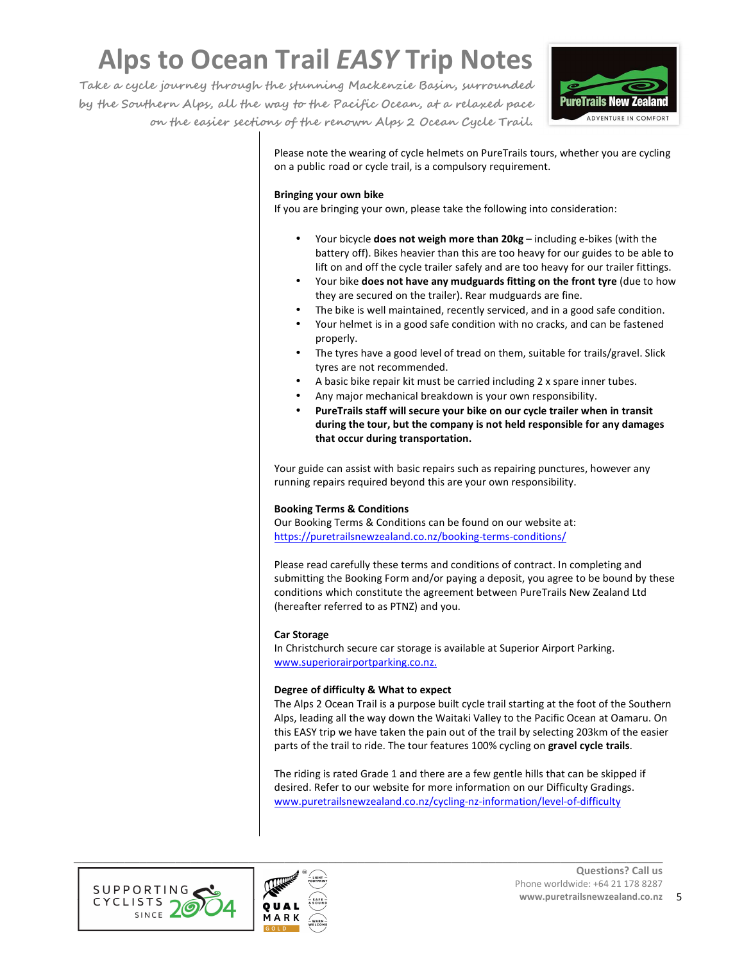**Take a cycle journey through the stunning Mackenzie Basin, surrounded by the Southern Alps, all the way to the Pacific Ocean, at a relaxed pace on the easier sections of the renown Alps 2 Ocean Cycle Trail.**



Please note the wearing of cycle helmets on PureTrails tours, whether you are cycling on a public road or cycle trail, is a compulsory requirement.

#### **Bringing your own bike**

If you are bringing your own, please take the following into consideration:

- Your bicycle **does not weigh more than 20kg** including e-bikes (with the battery off). Bikes heavier than this are too heavy for our guides to be able to lift on and off the cycle trailer safely and are too heavy for our trailer fittings.
- Your bike **does not have any mudguards fitting on the front tyre** (due to how they are secured on the trailer). Rear mudguards are fine.
- The bike is well maintained, recently serviced, and in a good safe condition.
- Your helmet is in a good safe condition with no cracks, and can be fastened properly.
- The tyres have a good level of tread on them, suitable for trails/gravel. Slick tyres are not recommended.
- A basic bike repair kit must be carried including 2 x spare inner tubes.
- Any major mechanical breakdown is your own responsibility.
- **PureTrails staff will secure your bike on our cycle trailer when in transit during the tour, but the company is not held responsible for any damages that occur during transportation.**

Your guide can assist with basic repairs such as repairing punctures, however any running repairs required beyond this are your own responsibility.

## **Booking Terms & Conditions**

Our Booking Terms & Conditions can be found on our website at: https://puretrailsnewzealand.co.nz/booking-terms-conditions/

Please read carefully these terms and conditions of contract. In completing and submitting the Booking Form and/or paying a deposit, you agree to be bound by these conditions which constitute the agreement between PureTrails New Zealand Ltd (hereafter referred to as PTNZ) and you.

## **Car Storage**

In Christchurch secure car storage is available at Superior Airport Parking. www.superiorairportparking.co.nz.

## **Degree of difficulty & What to expect**

The Alps 2 Ocean Trail is a purpose built cycle trail starting at the foot of the Southern Alps, leading all the way down the Waitaki Valley to the Pacific Ocean at Oamaru. On this EASY trip we have taken the pain out of the trail by selecting 203km of the easier parts of the trail to ride. The tour features 100% cycling on **gravel cycle trails**.

The riding is rated Grade 1 and there are a few gentle hills that can be skipped if desired. Refer to our website for more information on our Difficulty Gradings. www.puretrailsnewzealand.co.nz/cycling-nz-information/level-of-difficulty



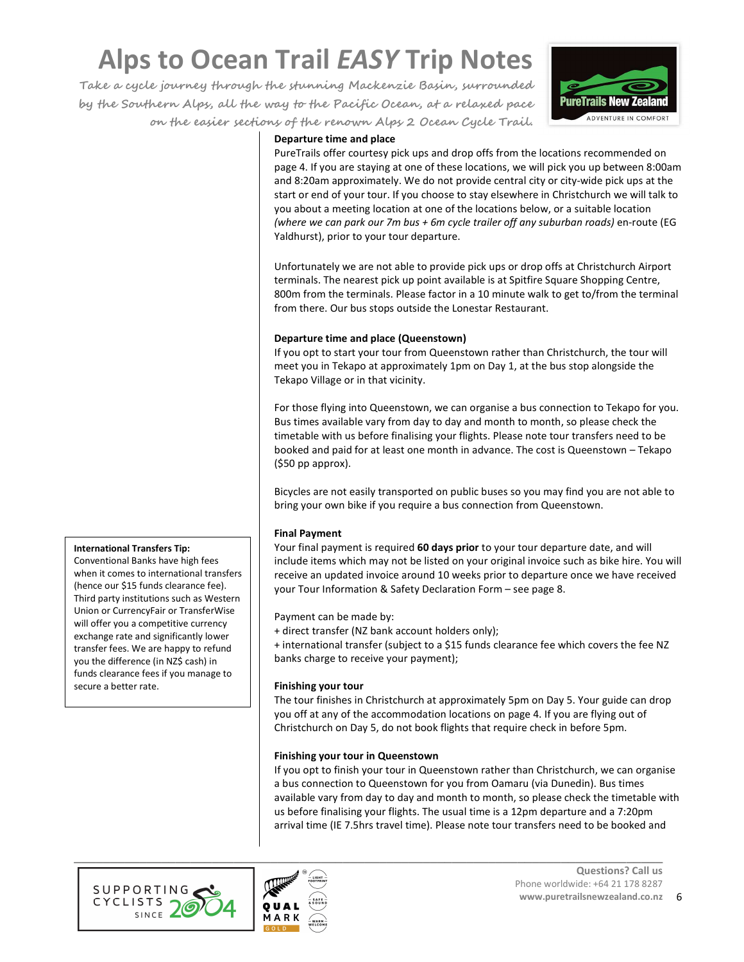**Take a cycle journey through the stunning Mackenzie Basin, surrounded by the Southern Alps, all the way to the Pacific Ocean, at a relaxed pace on the easier sections of the renown Alps 2 Ocean Cycle Trail.**



#### **Departure time and place**

PureTrails offer courtesy pick ups and drop offs from the locations recommended on page 4. If you are staying at one of these locations, we will pick you up between 8:00am and 8:20am approximately. We do not provide central city or city-wide pick ups at the start or end of your tour. If you choose to stay elsewhere in Christchurch we will talk to you about a meeting location at one of the locations below, or a suitable location *(where we can park our 7m bus + 6m cycle trailer off any suburban roads)* en-route (EG Yaldhurst), prior to your tour departure.

Unfortunately we are not able to provide pick ups or drop offs at Christchurch Airport terminals. The nearest pick up point available is at Spitfire Square Shopping Centre, 800m from the terminals. Please factor in a 10 minute walk to get to/from the terminal from there. Our bus stops outside the Lonestar Restaurant.

#### **Departure time and place (Queenstown)**

If you opt to start your tour from Queenstown rather than Christchurch, the tour will meet you in Tekapo at approximately 1pm on Day 1, at the bus stop alongside the Tekapo Village or in that vicinity.

For those flying into Queenstown, we can organise a bus connection to Tekapo for you. Bus times available vary from day to day and month to month, so please check the timetable with us before finalising your flights. Please note tour transfers need to be booked and paid for at least one month in advance. The cost is Queenstown – Tekapo (\$50 pp approx).

Bicycles are not easily transported on public buses so you may find you are not able to bring your own bike if you require a bus connection from Queenstown.

## **Final Payment**

Your final payment is required **60 days prior** to your tour departure date, and will include items which may not be listed on your original invoice such as bike hire. You will receive an updated invoice around 10 weeks prior to departure once we have received your Tour Information & Safety Declaration Form – see page 8.

Payment can be made by:

+ direct transfer (NZ bank account holders only);

+ international transfer (subject to a \$15 funds clearance fee which covers the fee NZ banks charge to receive your payment);

#### **Finishing your tour**

The tour finishes in Christchurch at approximately 5pm on Day 5. Your guide can drop you off at any of the accommodation locations on page 4. If you are flying out of Christchurch on Day 5, do not book flights that require check in before 5pm.

#### **Finishing your tour in Queenstown**

If you opt to finish your tour in Queenstown rather than Christchurch, we can organise a bus connection to Queenstown for you from Oamaru (via Dunedin). Bus times available vary from day to day and month to month, so please check the timetable with us before finalising your flights. The usual time is a 12pm departure and a 7:20pm arrival time (IE 7.5hrs travel time). Please note tour transfers need to be booked and





**International Transfers Tip:** 

Conventional Banks have high fees when it comes to international transfers (hence our \$15 funds clearance fee). Third party institutions such as Western Union or CurrencyFair or TransferWise will offer you a competitive currency exchange rate and significantly lower transfer fees. We are happy to refund you the difference (in NZ\$ cash) in funds clearance fees if you manage to secure a better rate.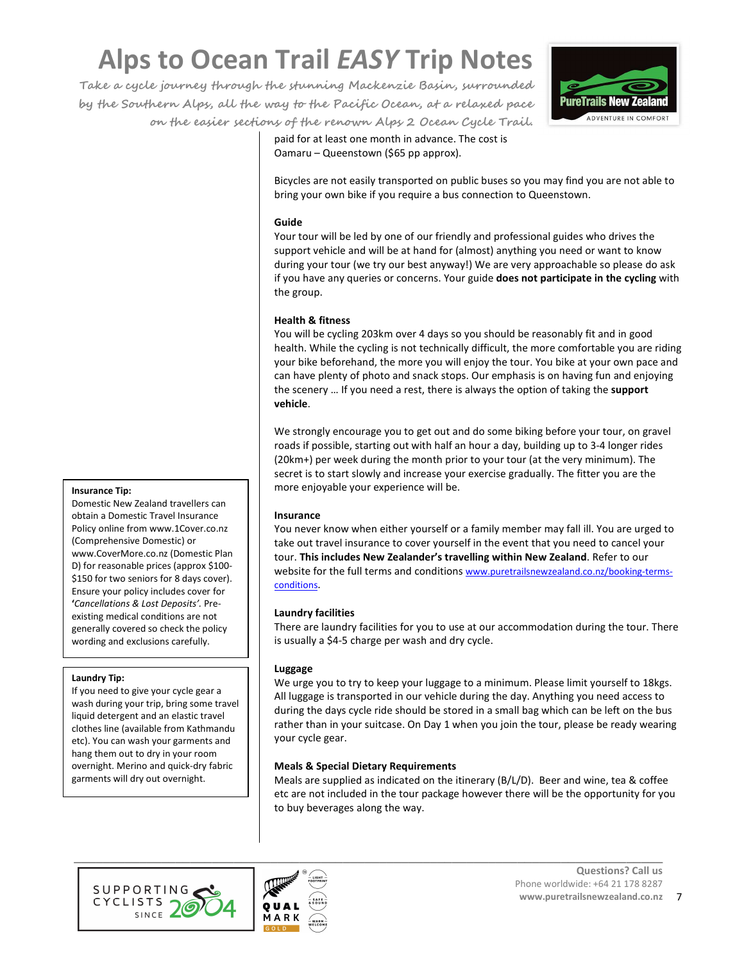**Take a cycle journey through the stunning Mackenzie Basin, surrounded by the Southern Alps, all the way to the Pacific Ocean, at a relaxed pace on the easier sections of the renown Alps 2 Ocean Cycle Trail.**



paid for at least one month in advance. The cost is Oamaru – Queenstown (\$65 pp approx).

Bicycles are not easily transported on public buses so you may find you are not able to bring your own bike if you require a bus connection to Queenstown.

#### **Guide**

Your tour will be led by one of our friendly and professional guides who drives the support vehicle and will be at hand for (almost) anything you need or want to know during your tour (we try our best anyway!) We are very approachable so please do ask if you have any queries or concerns. Your guide **does not participate in the cycling** with the group.

## **Health & fitness**

You will be cycling 203km over 4 days so you should be reasonably fit and in good health. While the cycling is not technically difficult, the more comfortable you are riding your bike beforehand, the more you will enjoy the tour. You bike at your own pace and can have plenty of photo and snack stops. Our emphasis is on having fun and enjoying the scenery … If you need a rest, there is always the option of taking the **support vehicle**.

We strongly encourage you to get out and do some biking before your tour, on gravel roads if possible, starting out with half an hour a day, building up to 3-4 longer rides (20km+) per week during the month prior to your tour (at the very minimum). The secret is to start slowly and increase your exercise gradually. The fitter you are the more enjoyable your experience will be.

## **Insurance**

You never know when either yourself or a family member may fall ill. You are urged to take out travel insurance to cover yourself in the event that you need to cancel your tour. **This includes New Zealander's travelling within New Zealand**. Refer to our website for the full terms and conditions www.puretrailsnewzealand.co.nz/booking-termsconditions.

## **Laundry facilities**

There are laundry facilities for you to use at our accommodation during the tour. There is usually a \$4-5 charge per wash and dry cycle.

## **Luggage**

We urge you to try to keep your luggage to a minimum. Please limit yourself to 18kgs. All luggage is transported in our vehicle during the day. Anything you need access to during the days cycle ride should be stored in a small bag which can be left on the bus rather than in your suitcase. On Day 1 when you join the tour, please be ready wearing your cycle gear.

## **Meals & Special Dietary Requirements**

Meals are supplied as indicated on the itinerary (B/L/D). Beer and wine, tea & coffee etc are not included in the tour package however there will be the opportunity for you to buy beverages along the way.





**Insurance Tip:**

Domestic New Zealand travellers can obtain a Domestic Travel Insurance Policy online from www.1Cover.co.nz (Comprehensive Domestic) or www.CoverMore.co.nz (Domestic Plan D) for reasonable prices (approx \$100- \$150 for two seniors for 8 days cover). Ensure your policy includes cover for **'***Cancellations & Lost Deposits'.* Preexisting medical conditions are not generally covered so check the policy wording and exclusions carefully.

#### **Laundry Tip:**

If you need to give your cycle gear a wash during your trip, bring some travel liquid detergent and an elastic travel clothes line (available from Kathmandu etc). You can wash your garments and hang them out to dry in your room overnight. Merino and quick-dry fabric garments will dry out overnight.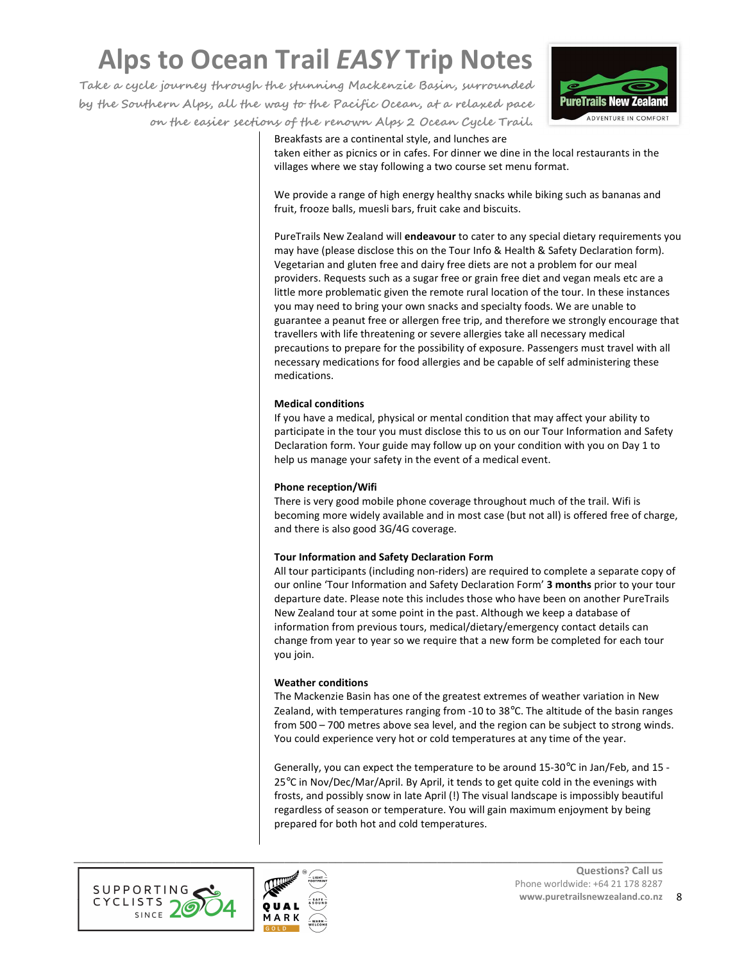**Take a cycle journey through the stunning Mackenzie Basin, surrounded by the Southern Alps, all the way to the Pacific Ocean, at a relaxed pace on the easier sections of the renown Alps 2 Ocean Cycle Trail.**



Breakfasts are a continental style, and lunches are

taken either as picnics or in cafes. For dinner we dine in the local restaurants in the villages where we stay following a two course set menu format.

We provide a range of high energy healthy snacks while biking such as bananas and fruit, frooze balls, muesli bars, fruit cake and biscuits.

PureTrails New Zealand will **endeavour** to cater to any special dietary requirements you may have (please disclose this on the Tour Info & Health & Safety Declaration form). Vegetarian and gluten free and dairy free diets are not a problem for our meal providers. Requests such as a sugar free or grain free diet and vegan meals etc are a little more problematic given the remote rural location of the tour. In these instances you may need to bring your own snacks and specialty foods. We are unable to guarantee a peanut free or allergen free trip, and therefore we strongly encourage that travellers with life threatening or severe allergies take all necessary medical precautions to prepare for the possibility of exposure. Passengers must travel with all necessary medications for food allergies and be capable of self administering these medications.

#### **Medical conditions**

If you have a medical, physical or mental condition that may affect your ability to participate in the tour you must disclose this to us on our Tour Information and Safety Declaration form. Your guide may follow up on your condition with you on Day 1 to help us manage your safety in the event of a medical event.

#### **Phone reception/Wifi**

There is very good mobile phone coverage throughout much of the trail. Wifi is becoming more widely available and in most case (but not all) is offered free of charge, and there is also good 3G/4G coverage.

## **Tour Information and Safety Declaration Form**

All tour participants (including non-riders) are required to complete a separate copy of our online 'Tour Information and Safety Declaration Form' **3 months** prior to your tour departure date. Please note this includes those who have been on another PureTrails New Zealand tour at some point in the past. Although we keep a database of information from previous tours, medical/dietary/emergency contact details can change from year to year so we require that a new form be completed for each tour you join.

## **Weather conditions**

The Mackenzie Basin has one of the greatest extremes of weather variation in New Zealand, with temperatures ranging from -10 to 38°C. The altitude of the basin ranges from 500 – 700 metres above sea level, and the region can be subject to strong winds. You could experience very hot or cold temperatures at any time of the year.

Generally, you can expect the temperature to be around 15-30°C in Jan/Feb, and 15 - 25°C in Nov/Dec/Mar/April. By April, it tends to get quite cold in the evenings with frosts, and possibly snow in late April (!) The visual landscape is impossibly beautiful regardless of season or temperature. You will gain maximum enjoyment by being prepared for both hot and cold temperatures.